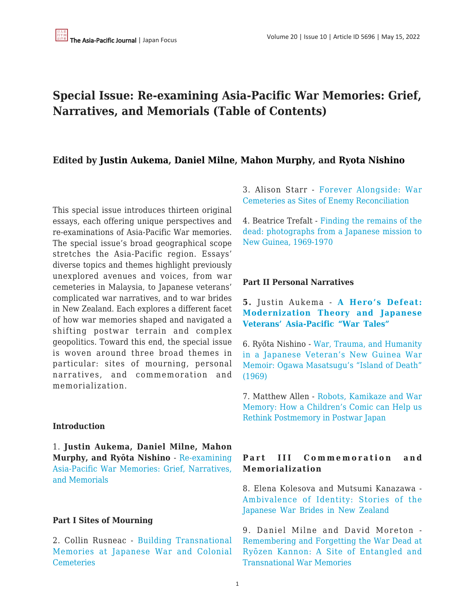# **Special Issue: Re-examining Asia-Pacific War Memories: Grief, Narratives, and Memorials (Table of Contents)**

## **Edited by [Justin Aukema](https://apjjf.org/authors/view/14255), [Daniel Milne,](https://apjjf.org/authors/view/15237) [Mahon Murphy](https://apjjf.org/authors/view/15238), and [Ryota Nishino](https://apjjf.org/authors/view/14763)**

This special issue introduces thirteen original essays, each offering unique perspectives and re-examinations of Asia-Pacific War memories. The special issue's broad geographical scope stretches the Asia-Pacific region. Essays' diverse topics and themes highlight previously unexplored avenues and voices, from war cemeteries in Malaysia, to Japanese veterans' complicated war narratives, and to war brides in New Zealand. Each explores a different facet of how war memories shaped and navigated a shifting postwar terrain and complex geopolitics. Toward this end, the special issue is woven around three broad themes in particular: sites of mourning, personal narratives, and commemoration and memorialization.

#### **Introduction**

1. **Justin Aukema, Daniel Milne, Mahon Murphy, and Ryōta Nishino** - [Re-examining](https://apjjf.org/2022/10/Aukema-Milne-Murphy-Nishino.html) [Asia-Pacific War Memories: Grief, Narratives,](https://apjjf.org/2022/10/Aukema-Milne-Murphy-Nishino.html) [and Memorials](https://apjjf.org/2022/10/Aukema-Milne-Murphy-Nishino.html)

#### **Part I Sites of Mourning**

2. Collin Rusneac - [Building Transnational](https://apjjf.org/2022/10/Rusneac.html) [Memories at Japanese War and Colonial](https://apjjf.org/2022/10/Rusneac.html) **[Cemeteries](https://apjjf.org/2022/10/Rusneac.html)** 

3. Alison Starr - [Forever Alongside: War](https://apjjf.org/2022/10/Starr.html) [Cemeteries as Sites of Enemy Reconciliation](https://apjjf.org/2022/10/Starr.html)

4. Beatrice Trefalt - [Finding the remains of the](https://apjjf.org/2022/10/Trefalt.html) [dead: photographs from a Japanese mission to](https://apjjf.org/2022/10/Trefalt.html) [New Guinea, 1969-1970](https://apjjf.org/2022/10/Trefalt.html)

#### **Part II Personal Narratives**

## **5.** Justin Aukema - **[A Hero's Defeat:](https://apjjf.org/2022/10/Aukema.html) [Modernization Theory and Japanese](https://apjjf.org/2022/10/Aukema.html) [Veterans' Asia-Pacific "War Tales"](https://apjjf.org/2022/10/Aukema.html)**

6. Ryōta Nishino - [War, Trauma, and Humanity](https://apjjf.org/2022/10/Nishino.html) [in a Japanese Veteran's New Guinea War](https://apjjf.org/2022/10/Nishino.html) [Memoir: Ogawa Masatsugu's "Island of Death"](https://apjjf.org/2022/10/Nishino.html) [\(1969\)](https://apjjf.org/2022/10/Nishino.html)

7. Matthew Allen - [Robots, Kamikaze and War](https://apjjf.org/2022/10/Allen.html) [Memory: How a Children's Comic can Help us](https://apjjf.org/2022/10/Allen.html) [Rethink Postmemory in Postwar Japan](https://apjjf.org/2022/10/Allen.html)

## **Part III Commemoration and Memorialization**

8. Elena Kolesova and Mutsumi Kanazawa - [Ambivalence of Identity: Stories of the](https://apjjf.org/2022/11/Kolesova-Kanazawa.html) [Japanese War Brides in New Zealand](https://apjjf.org/2022/11/Kolesova-Kanazawa.html)

9. Daniel Milne and David Moreton - [Remembering and Forgetting the War Dead at](https://apjjf.org/2022/11/Milne-Moreton.html) [Ryōzen Kannon: A Site of Entangled and](https://apjjf.org/2022/11/Milne-Moreton.html) [Transnational War Memories](https://apjjf.org/2022/11/Milne-Moreton.html)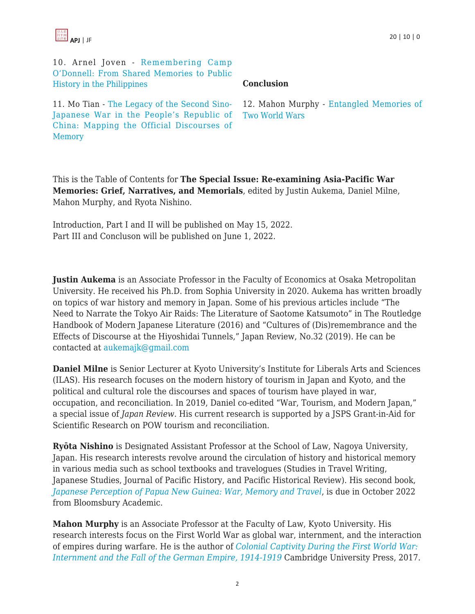

10. Arnel Joven - [Remembering Camp](https://apjjf.org/2022/11/Joven.html) [O'Donnell: From Shared Memories to Public](https://apjjf.org/2022/11/Joven.html) [History in the Philippines](https://apjjf.org/2022/11/Joven.html)

### **Conclusion**

11. Mo Tian - [The Legacy of the Second Sino-](https://apjjf.org/2022/11/Tian.html)[Japanese War in the People's Republic of](https://apjjf.org/2022/11/Tian.html) [China: Mapping the Official Discourses of](https://apjjf.org/2022/11/Tian.html) [Memory](https://apjjf.org/2022/11/Tian.html)

12. Mahon Murphy [- Entangled Memories of](https://apjjf.org/2022/11/Murphy.html) [Two World Wars](https://apjjf.org/2022/11/Murphy.html)

This is the Table of Contents for **The Special Issue: Re-examining Asia-Pacific War Memories: Grief, Narratives, and Memorials**, edited by Justin Aukema, Daniel Milne, Mahon Murphy, and Ryota Nishino.

Introduction, Part I and II will be published on May 15, 2022. Part III and Concluson will be published on June 1, 2022.

**Justin Aukema** is an Associate Professor in the Faculty of Economics at Osaka Metropolitan University. He received his Ph.D. from Sophia University in 2020. Aukema has written broadly on topics of war history and memory in Japan. Some of his previous articles include "The Need to Narrate the Tokyo Air Raids: The Literature of Saotome Katsumoto" in The Routledge Handbook of Modern Japanese Literature (2016) and "Cultures of (Dis)remembrance and the Effects of Discourse at the Hiyoshidai Tunnels," Japan Review, No.32 (2019). He can be contacted a[t aukemajk@gmail.com](https://apjjf.org/mailto:%20aukemajk@gmail.com)

**Daniel Milne** is Senior Lecturer at Kyoto University's Institute for Liberals Arts and Sciences (ILAS). His research focuses on the modern history of tourism in Japan and Kyoto, and the political and cultural role the discourses and spaces of tourism have played in war, occupation, and reconciliation. In 2019, Daniel co-edited "War, Tourism, and Modern Japan," a special issue of *Japan Review*. His current research is supported by a JSPS Grant-in-Aid for Scientific Research on POW tourism and reconciliation.

**Ryōta Nishino** is Designated Assistant Professor at the School of Law, Nagoya University, Japan. His research interests revolve around the circulation of history and historical memory in various media such as school textbooks and travelogues (Studies in Travel Writing, Japanese Studies, Journal of Pacific History, and Pacific Historical Review). His second book, *[Japanese Perception of Papua New Guinea: War, Memory and Travel](https://www.bloomsbury.com/uk/japanese-perceptions-of-papua-new-guinea-9781350139008/)*, is due in October 2022 from Bloomsbury Academic.

**Mahon Murphy** is an Associate Professor at the Faculty of Law, Kyoto University. His research interests focus on the First World War as global war, internment, and the interaction of empires during warfare. He is the author of *[Colonial Captivity During the First World War:](https://www.amazon.com/Colonial-Captivity-during-First-World/dp/1108418074/?tag=theasipacjo0b-20) [Internment and the Fall of the German Empire, 1914-1919](https://www.amazon.com/Colonial-Captivity-during-First-World/dp/1108418074/?tag=theasipacjo0b-20)* [C](https://www.amazon.com/Colonial-Captivity-during-First-World/dp/1108418074/?tag=theasipacjo0b-20)ambridge University Press, 2017.